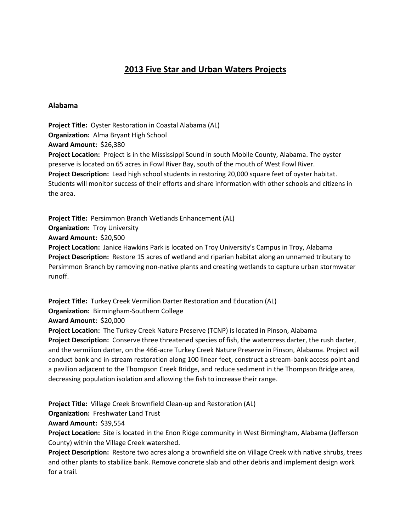# **2013 Five Star and Urban Waters Projects**

#### **Alabama**

**Project Title:** Oyster Restoration in Coastal Alabama (AL) **Organization:** Alma Bryant High School **Award Amount:** \$26,380 **Project Location:** Project is in the Mississippi Sound in south Mobile County, Alabama. The oyster preserve is located on 65 acres in Fowl River Bay, south of the mouth of West Fowl River. **Project Description:** Lead high school students in restoring 20,000 square feet of oyster habitat. Students will monitor success of their efforts and share information with other schools and citizens in the area.

**Project Title:** Persimmon Branch Wetlands Enhancement (AL) **Organization: Troy University Award Amount:** \$20,500 **Project Location:** Janice Hawkins Park is located on Troy University's Campus in Troy, Alabama **Project Description:** Restore 15 acres of wetland and riparian habitat along an unnamed tributary to Persimmon Branch by removing non-native plants and creating wetlands to capture urban stormwater runoff.

**Project Title:** Turkey Creek Vermilion Darter Restoration and Education (AL) **Organization:** Birmingham-Southern College **Award Amount:** \$20,000 **Project Location:** The Turkey Creek Nature Preserve (TCNP) is located in Pinson, Alabama **Project Description:** Conserve three threatened species of fish, the watercress darter, the rush darter, and the vermilion darter, on the 466-acre Turkey Creek Nature Preserve in Pinson, Alabama. Project will conduct bank and in-stream restoration along 100 linear feet, construct a stream-bank access point and a pavilion adjacent to the Thompson Creek Bridge, and reduce sediment in the Thompson Bridge area, decreasing population isolation and allowing the fish to increase their range.

**Project Title:** Village Creek Brownfield Clean-up and Restoration (AL)

**Organization:** Freshwater Land Trust

**Award Amount:** \$39,554

**Project Location:** Site is located in the Enon Ridge community in West Birmingham, Alabama (Jefferson County) within the Village Creek watershed.

**Project Description:** Restore two acres along a brownfield site on Village Creek with native shrubs, trees and other plants to stabilize bank. Remove concrete slab and other debris and implement design work for a trail.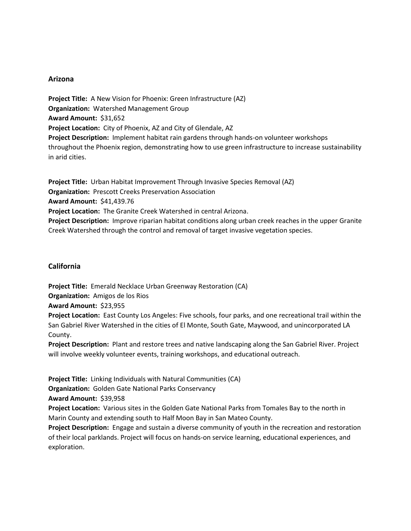# **Arizona**

**Project Title:** A New Vision for Phoenix: Green Infrastructure (AZ) **Organization:** Watershed Management Group **Award Amount:** \$31,652 **Project Location:** City of Phoenix, AZ and City of Glendale, AZ **Project Description:** Implement habitat rain gardens through hands-on volunteer workshops throughout the Phoenix region, demonstrating how to use green infrastructure to increase sustainability in arid cities.

**Project Title:** Urban Habitat Improvement Through Invasive Species Removal (AZ) **Organization:** Prescott Creeks Preservation Association **Award Amount:** \$41,439.76 **Project Location:** The Granite Creek Watershed in central Arizona. **Project Description:** Improve riparian habitat conditions along urban creek reaches in the upper Granite Creek Watershed through the control and removal of target invasive vegetation species.

# **California**

**Project Title:** Emerald Necklace Urban Greenway Restoration (CA) **Organization:** Amigos de los Rios

**Award Amount:** \$23,955

**Project Location:** East County Los Angeles: Five schools, four parks, and one recreational trail within the San Gabriel River Watershed in the cities of El Monte, South Gate, Maywood, and unincorporated LA County.

**Project Description:** Plant and restore trees and native landscaping along the San Gabriel River. Project will involve weekly volunteer events, training workshops, and educational outreach.

**Project Title:** Linking Individuals with Natural Communities (CA)

**Organization:** Golden Gate National Parks Conservancy

**Award Amount:** \$39,958

**Project Location:** Various sites in the Golden Gate National Parks from Tomales Bay to the north in Marin County and extending south to Half Moon Bay in San Mateo County.

**Project Description:** Engage and sustain a diverse community of youth in the recreation and restoration of their local parklands. Project will focus on hands-on service learning, educational experiences, and exploration.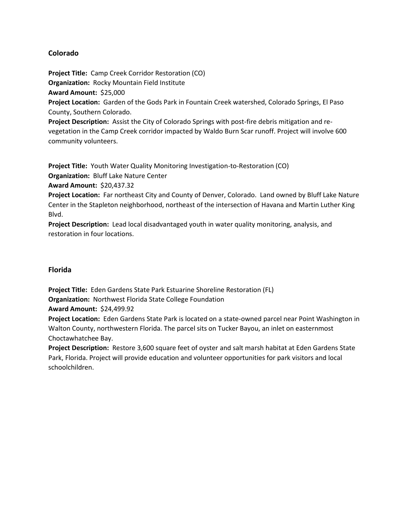# **Colorado**

**Project Title:** Camp Creek Corridor Restoration (CO)

**Organization:** Rocky Mountain Field Institute

**Award Amount:** \$25,000

**Project Location:** Garden of the Gods Park in Fountain Creek watershed, Colorado Springs, El Paso County, Southern Colorado.

**Project Description:** Assist the City of Colorado Springs with post-fire debris mitigation and revegetation in the Camp Creek corridor impacted by Waldo Burn Scar runoff. Project will involve 600 community volunteers.

**Project Title:** Youth Water Quality Monitoring Investigation-to-Restoration (CO) **Organization:** Bluff Lake Nature Center

**Award Amount:** \$20,437.32

**Project Location:** Far northeast City and County of Denver, Colorado. Land owned by Bluff Lake Nature Center in the Stapleton neighborhood, northeast of the intersection of Havana and Martin Luther King Blvd.

**Project Description:** Lead local disadvantaged youth in water quality monitoring, analysis, and restoration in four locations.

# **Florida**

**Project Title:** Eden Gardens State Park Estuarine Shoreline Restoration (FL) **Organization:** Northwest Florida State College Foundation

**Award Amount:** \$24,499.92

**Project Location:** Eden Gardens State Park is located on a state-owned parcel near Point Washington in Walton County, northwestern Florida. The parcel sits on Tucker Bayou, an inlet on easternmost Choctawhatchee Bay.

**Project Description:** Restore 3,600 square feet of oyster and salt marsh habitat at Eden Gardens State Park, Florida. Project will provide education and volunteer opportunities for park visitors and local schoolchildren.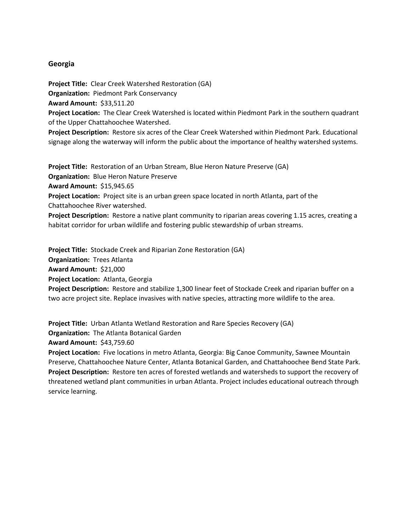#### **Georgia**

**Project Title:** Clear Creek Watershed Restoration (GA)

**Organization:** Piedmont Park Conservancy

**Award Amount:** \$33,511.20

**Project Location:** The Clear Creek Watershed is located within Piedmont Park in the southern quadrant of the Upper Chattahoochee Watershed.

**Project Description:** Restore six acres of the Clear Creek Watershed within Piedmont Park. Educational signage along the waterway will inform the public about the importance of healthy watershed systems.

**Project Title:** Restoration of an Urban Stream, Blue Heron Nature Preserve (GA)

**Organization:** Blue Heron Nature Preserve

**Award Amount:** \$15,945.65

**Project Location:** Project site is an urban green space located in north Atlanta, part of the Chattahoochee River watershed.

**Project Description:** Restore a native plant community to riparian areas covering 1.15 acres, creating a habitat corridor for urban wildlife and fostering public stewardship of urban streams.

**Project Title:** Stockade Creek and Riparian Zone Restoration (GA) **Organization:** Trees Atlanta **Award Amount:** \$21,000 **Project Location:** Atlanta, Georgia **Project Description:** Restore and stabilize 1,300 linear feet of Stockade Creek and riparian buffer on a two acre project site. Replace invasives with native species, attracting more wildlife to the area.

**Project Title:** Urban Atlanta Wetland Restoration and Rare Species Recovery (GA)

**Organization:** The Atlanta Botanical Garden

**Award Amount:** \$43,759.60

**Project Location:** Five locations in metro Atlanta, Georgia: Big Canoe Community, Sawnee Mountain Preserve, Chattahoochee Nature Center, Atlanta Botanical Garden, and Chattahoochee Bend State Park. **Project Description:** Restore ten acres of forested wetlands and watersheds to support the recovery of threatened wetland plant communities in urban Atlanta. Project includes educational outreach through service learning.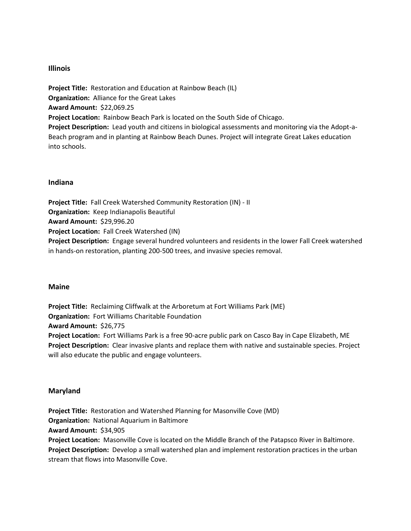# **Illinois**

**Project Title:** Restoration and Education at Rainbow Beach (IL) **Organization:** Alliance for the Great Lakes **Award Amount:** \$22,069.25 **Project Location:** Rainbow Beach Park is located on the South Side of Chicago. **Project Description:** Lead youth and citizens in biological assessments and monitoring via the Adopt-a-Beach program and in planting at Rainbow Beach Dunes. Project will integrate Great Lakes education into schools.

# **Indiana**

**Project Title:** Fall Creek Watershed Community Restoration (IN) - II **Organization:** Keep Indianapolis Beautiful **Award Amount:** \$29,996.20 **Project Location:** Fall Creek Watershed (IN) **Project Description:** Engage several hundred volunteers and residents in the lower Fall Creek watershed in hands-on restoration, planting 200-500 trees, and invasive species removal.

#### **Maine**

**Project Title:** Reclaiming Cliffwalk at the Arboretum at Fort Williams Park (ME) **Organization:** Fort Williams Charitable Foundation **Award Amount:** \$26,775 **Project Location:** Fort Williams Park is a free 90-acre public park on Casco Bay in Cape Elizabeth, ME **Project Description:** Clear invasive plants and replace them with native and sustainable species. Project will also educate the public and engage volunteers.

#### **Maryland**

**Project Title:** Restoration and Watershed Planning for Masonville Cove (MD) **Organization:** National Aquarium in Baltimore **Award Amount:** \$34,905 **Project Location:** Masonville Cove is located on the Middle Branch of the Patapsco River in Baltimore. **Project Description:** Develop a small watershed plan and implement restoration practices in the urban

stream that flows into Masonville Cove.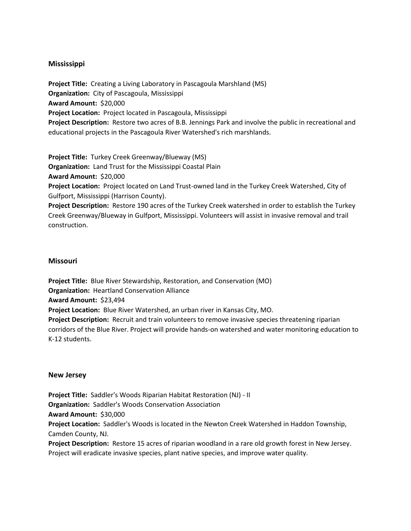# **Mississippi**

**Project Title:** Creating a Living Laboratory in Pascagoula Marshland (MS) **Organization:** City of Pascagoula, Mississippi **Award Amount:** \$20,000 **Project Location:** Project located in Pascagoula, Mississippi **Project Description:** Restore two acres of B.B. Jennings Park and involve the public in recreational and educational projects in the Pascagoula River Watershed's rich marshlands.

**Project Title:** Turkey Creek Greenway/Blueway (MS)

**Organization:** Land Trust for the Mississippi Coastal Plain

**Award Amount:** \$20,000

**Project Location:** Project located on Land Trust-owned land in the Turkey Creek Watershed, City of Gulfport, Mississippi (Harrison County).

**Project Description:** Restore 190 acres of the Turkey Creek watershed in order to establish the Turkey Creek Greenway/Blueway in Gulfport, Mississippi. Volunteers will assist in invasive removal and trail construction.

#### **Missouri**

**Project Title:** Blue River Stewardship, Restoration, and Conservation (MO) **Organization:** Heartland Conservation Alliance **Award Amount:** \$23,494 **Project Location:** Blue River Watershed, an urban river in Kansas City, MO. **Project Description:** Recruit and train volunteers to remove invasive species threatening riparian corridors of the Blue River. Project will provide hands-on watershed and water monitoring education to K-12 students.

#### **New Jersey**

**Project Title:** Saddler's Woods Riparian Habitat Restoration (NJ) - II **Organization:** Saddler's Woods Conservation Association **Award Amount:** \$30,000 **Project Location:** Saddler's Woods is located in the Newton Creek Watershed in Haddon Township, Camden County, NJ. **Project Description:** Restore 15 acres of riparian woodland in a rare old growth forest in New Jersey. Project will eradicate invasive species, plant native species, and improve water quality.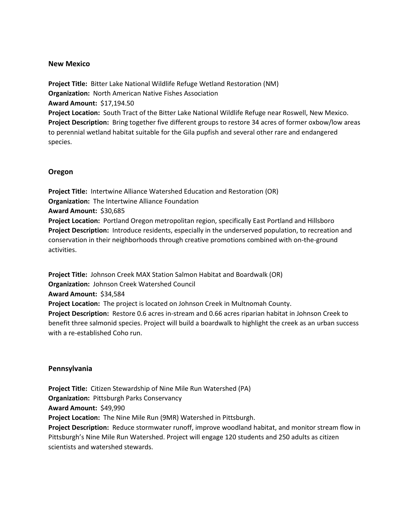#### **New Mexico**

**Project Title:** Bitter Lake National Wildlife Refuge Wetland Restoration (NM) **Organization:** North American Native Fishes Association **Award Amount:** \$17,194.50 **Project Location:** South Tract of the Bitter Lake National Wildlife Refuge near Roswell, New Mexico. **Project Description:** Bring together five different groups to restore 34 acres of former oxbow/low areas to perennial wetland habitat suitable for the Gila pupfish and several other rare and endangered species.

# **Oregon**

**Project Title:** Intertwine Alliance Watershed Education and Restoration (OR) **Organization:** The Intertwine Alliance Foundation **Award Amount:** \$30,685 **Project Location:** Portland Oregon metropolitan region, specifically East Portland and Hillsboro **Project Description:** Introduce residents, especially in the underserved population, to recreation and conservation in their neighborhoods through creative promotions combined with on-the-ground activities.

**Project Title:** Johnson Creek MAX Station Salmon Habitat and Boardwalk (OR) **Organization:** Johnson Creek Watershed Council **Award Amount:** \$34,584 **Project Location:** The project is located on Johnson Creek in Multnomah County. **Project Description:** Restore 0.6 acres in-stream and 0.66 acres riparian habitat in Johnson Creek to benefit three salmonid species. Project will build a boardwalk to highlight the creek as an urban success with a re-established Coho run.

#### **Pennsylvania**

**Project Title:** Citizen Stewardship of Nine Mile Run Watershed (PA) **Organization:** Pittsburgh Parks Conservancy **Award Amount:** \$49,990 **Project Location:** The Nine Mile Run (9MR) Watershed in Pittsburgh. **Project Description:** Reduce stormwater runoff, improve woodland habitat, and monitor stream flow in Pittsburgh's Nine Mile Run Watershed. Project will engage 120 students and 250 adults as citizen scientists and watershed stewards.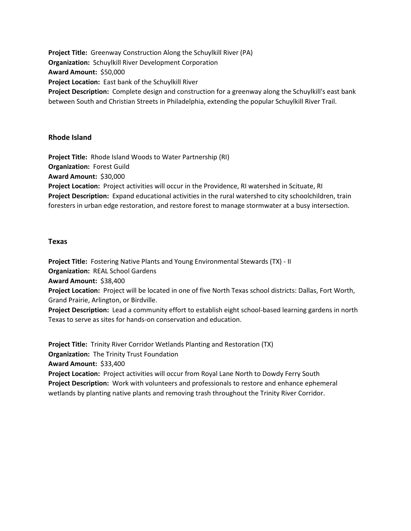**Project Title:** Greenway Construction Along the Schuylkill River (PA) **Organization:** Schuylkill River Development Corporation **Award Amount:** \$50,000 **Project Location:** East bank of the Schuylkill River **Project Description:** Complete design and construction for a greenway along the Schuylkill's east bank between South and Christian Streets in Philadelphia, extending the popular Schuylkill River Trail.

# **Rhode Island**

**Project Title:** Rhode Island Woods to Water Partnership (RI) **Organization:** Forest Guild **Award Amount:** \$30,000 **Project Location:** Project activities will occur in the Providence, RI watershed in Scituate, RI **Project Description:** Expand educational activities in the rural watershed to city schoolchildren, train foresters in urban edge restoration, and restore forest to manage stormwater at a busy intersection.

#### **Texas**

**Project Title:** Fostering Native Plants and Young Environmental Stewards (TX) - II

**Organization:** REAL School Gardens

**Award Amount:** \$38,400

**Project Location:** Project will be located in one of five North Texas school districts: Dallas, Fort Worth, Grand Prairie, Arlington, or Birdville.

**Project Description:** Lead a community effort to establish eight school-based learning gardens in north Texas to serve as sites for hands-on conservation and education.

**Project Title:** Trinity River Corridor Wetlands Planting and Restoration (TX)

**Organization:** The Trinity Trust Foundation

**Award Amount:** \$33,400

**Project Location:** Project activities will occur from Royal Lane North to Dowdy Ferry South **Project Description:** Work with volunteers and professionals to restore and enhance ephemeral wetlands by planting native plants and removing trash throughout the Trinity River Corridor.